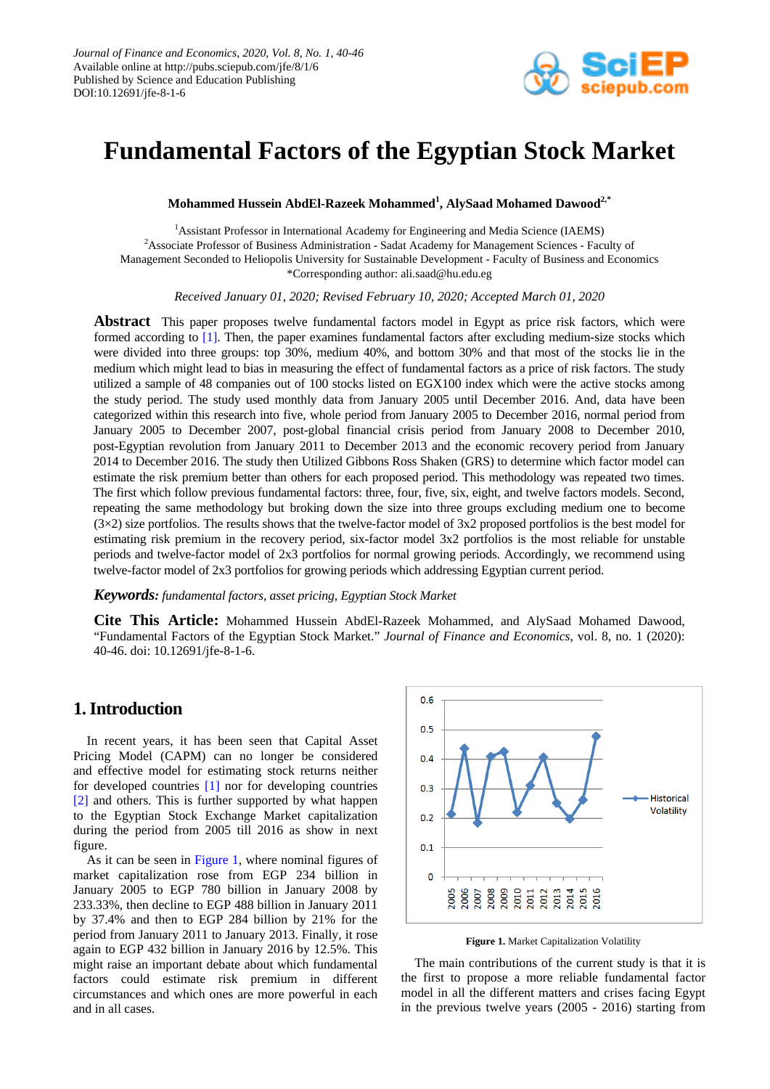

# **Fundamental Factors of the Egyptian Stock Market**

**Mohammed Hussein AbdEl-Razeek Mohammed<sup>1</sup> , AlySaad Mohamed Dawood2,\***

<sup>1</sup> Assistant Professor in International Academy for Engineering and Media Science (IAEMS) <sup>2</sup> Associate Professor of Business Administration - Sadat Academy for Management Sciences - Faculty of Management Seconded to Heliopolis University for Sustainable Development - Faculty of Business and Economics \*Corresponding author: ali.saad@hu.edu.eg

*Received [January](javascript:;) 01, 2020; Revised February 10, 2020; Accepted March 01, 2020*

**Abstract** This paper proposes twelve fundamental factors model in Egypt as price risk factors, which were formed according to [\[1\].](#page-5-0) Then, the paper examines fundamental factors after excluding medium-size stocks which were divided into three groups: top 30%, medium 40%, and bottom 30% and that most of the stocks lie in the medium which might lead to bias in measuring the effect of fundamental factors as a price of risk factors. The study utilized a sample of 48 companies out of 100 stocks listed on EGX100 index which were the active stocks among the study period. The study used monthly data from January 2005 until December 2016. And, data have been categorized within this research into five, whole period from January 2005 to December 2016, normal period from January 2005 to December 2007, post-global financial crisis period from January 2008 to December 2010, post-Egyptian revolution from January 2011 to December 2013 and the economic recovery period from January 2014 to December 2016. The study then Utilized Gibbons Ross Shaken (GRS) to determine which factor model can estimate the risk premium better than others for each proposed period. This methodology was repeated two times. The first which follow previous fundamental factors: three, four, five, six, eight, and twelve factors models. Second, repeating the same methodology but broking down the size into three groups excluding medium one to become  $(3\times2)$  size portfolios. The results shows that the twelve-factor model of 3x2 proposed portfolios is the best model for estimating risk premium in the recovery period, six-factor model 3x2 portfolios is the most reliable for unstable periods and twelve-factor model of 2x3 portfolios for normal growing periods. Accordingly, we recommend using twelve-factor model of 2x3 portfolios for growing periods which addressing Egyptian current period.

#### *Keywords: fundamental factors, asset pricing, Egyptian Stock Market*

**Cite This Article:** Mohammed Hussein AbdEl-Razeek Mohammed, and AlySaad Mohamed Dawood, "Fundamental Factors of the Egyptian Stock Market." *Journal of Finance and Economics*, vol. 8, no. 1 (2020): 40-46. doi: 10.12691/jfe-8-1-6.

## **1.Introduction**

In recent years, it has been seen that Capital Asset Pricing Model (CAPM) can no longer be considered and effective model for estimating stock returns neither for developed countries [\[1\]](#page-5-0) nor for developing countries [\[2\]](#page-5-1) and others. This is further supported by what happen to the Egyptian Stock Exchange Market capitalization during the period from 2005 till 2016 as show in next figure.

As it can be seen in [Figure 1,](#page-0-0) where nominal figures of market capitalization rose from EGP 234 billion in January 2005 to EGP 780 billion in January 2008 by 233.33%, then decline to EGP 488 billion in January 2011 by 37.4% and then to EGP 284 billion by 21% for the period from January 2011 to January 2013. Finally, it rose again to EGP 432 billion in January 2016 by 12.5%. This might raise an important debate about which fundamental factors could estimate risk premium in different circumstances and which ones are more powerful in each and in all cases.

<span id="page-0-0"></span>

**Figure 1.** Market Capitalization Volatility

The main contributions of the current study is that it is the first to propose a more reliable fundamental factor model in all the different matters and crises facing Egypt in the previous twelve years (2005 - 2016) starting from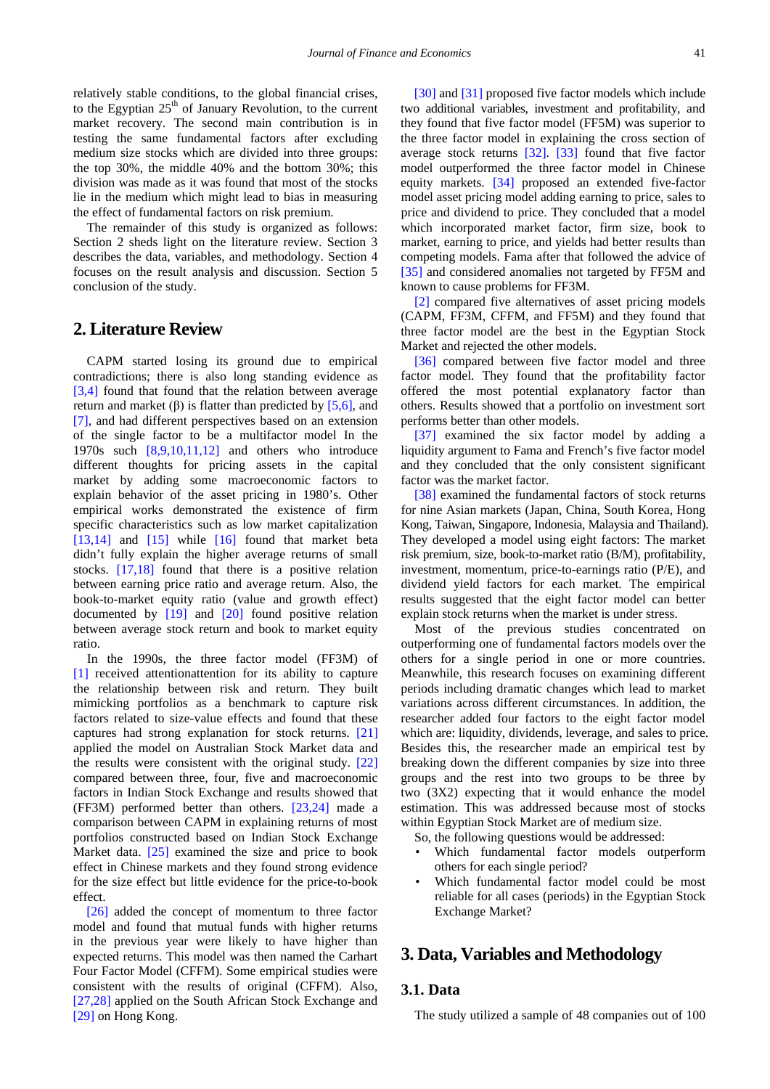relatively stable conditions, to the global financial crises, to the Egyptian 25<sup>th</sup> of January Revolution, to the current market recovery. The second main contribution is in testing the same fundamental factors after excluding medium size stocks which are divided into three groups: the top 30%, the middle 40% and the bottom 30%; this division was made as it was found that most of the stocks lie in the medium which might lead to bias in measuring the effect of fundamental factors on risk premium.

The remainder of this study is organized as follows: Section 2 sheds light on the literature review. Section 3 describes the data, variables, and methodology. Section 4 focuses on the result analysis and discussion. Section 5 conclusion of the study.

## **2. Literature Review**

CAPM started losing its ground due to empirical contradictions; there is also long standing evidence as [\[3,4\]](#page-5-2) found that found that the relation between average return and market  $(\beta)$  is flatter than predicted by [\[5,6\],](#page-5-3) and [\[7\],](#page-5-4) and had different perspectives based on an extension of the single factor to be a multifactor model In the 1970s such [\[8,9,10,11,12\]](#page-5-5) and others who introduce different thoughts for pricing assets in the capital market by adding some macroeconomic factors to explain behavior of the asset pricing in 1980's. Other empirical works demonstrated the existence of firm specific characteristics such as low market capitalization [\[13,14\]](#page-5-6) and  $[15]$  while  $[16]$  found that market beta didn't fully explain the higher average returns of small stocks. [\[17,18\]](#page-5-9) found that there is a positive relation between earning price ratio and average return. Also, the book-to-market equity ratio (value and growth effect) documented by [\[19\]](#page-5-10) and [\[20\]](#page-5-11) found positive relation between average stock return and book to market equity ratio.

In the 1990s, the three factor model (FF3M) of [\[1\]](#page-5-0) received attentionattention for its ability to capture the relationship between risk and return. They built mimicking portfolios as a benchmark to capture risk factors related to size-value effects and found that these captures had strong explanation for stock returns. [\[21\]](#page-5-12) applied the model on Australian Stock Market data and the results were consistent with the original study. [\[22\]](#page-5-13) compared between three, four, five and macroeconomic factors in Indian Stock Exchange and results showed that (FF3M) performed better than others. [\[23,24\]](#page-5-14) made a comparison between CAPM in explaining returns of most portfolios constructed based on Indian Stock Exchange Market data. [\[25\]](#page-5-15) examined the size and price to book effect in Chinese markets and they found strong evidence for the size effect but little evidence for the price-to-book effect.

[\[26\]](#page-5-16) added the concept of momentum to three factor model and found that mutual funds with higher returns in the previous year were likely to have higher than expected returns. This model was then named the Carhart Four Factor Model (CFFM). Some empirical studies were consistent with the results of original (CFFM). Also, [\[27,28\]](#page-5-17) applied on the South African Stock Exchange and [\[29\]](#page-5-18) on Hong Kong.

[\[30\]](#page-5-19) and [\[31\]](#page-5-20) proposed five factor models which include two additional variables, investment and profitability, and they found that five factor model (FF5M) was superior to the three factor model in explaining the cross section of average stock returns [\[32\].](#page-6-0) [\[33\]](#page-6-1) found that five factor model outperformed the three factor model in Chinese equity markets. [\[34\]](#page-6-2) proposed an extended five-factor model asset pricing model adding earning to price, sales to price and dividend to price. They concluded that a model which incorporated market factor, firm size, book to market, earning to price, and yields had better results than competing models. Fama after that followed the advice of [\[35\]](#page-6-3) and considered anomalies not targeted by FF5M and known to cause problems for FF3M.

[\[2\]](#page-5-1) compared five alternatives of asset pricing models (CAPM, FF3M, CFFM, and FF5M) and they found that three factor model are the best in the Egyptian Stock Market and rejected the other models.

[\[36\]](#page-6-4) compared between five factor model and three factor model. They found that the profitability factor offered the most potential explanatory factor than others. Results showed that a portfolio on investment sort performs better than other models.

[\[37\]](#page-6-5) examined the six factor model by adding a liquidity argument to Fama and French's five factor model and they concluded that the only consistent significant factor was the market factor.

[\[38\]](#page-6-6) examined the fundamental factors of stock returns for nine Asian markets (Japan, China, South Korea, Hong Kong, Taiwan, Singapore, Indonesia, Malaysia and Thailand). They developed a model using eight factors: The market risk premium, size, book-to-market ratio (B/M), profitability, investment, momentum, price-to-earnings ratio (P/E), and dividend yield factors for each market. The empirical results suggested that the eight factor model can better explain stock returns when the market is under stress.

Most of the previous studies concentrated on outperforming one of fundamental factors models over the others for a single period in one or more countries. Meanwhile, this research focuses on examining different periods including dramatic changes which lead to market variations across different circumstances. In addition, the researcher added four factors to the eight factor model which are: liquidity, dividends, leverage, and sales to price. Besides this, the researcher made an empirical test by breaking down the different companies by size into three groups and the rest into two groups to be three by two (3X2) expecting that it would enhance the model estimation. This was addressed because most of stocks within Egyptian Stock Market are of medium size.

So, the following questions would be addressed:

- Which fundamental factor models outperform others for each single period?
- Which fundamental factor model could be most reliable for all cases (periods) in the Egyptian Stock Exchange Market?

## **3. Data, Variables and Methodology**

## **3.1. Data**

The study utilized a sample of 48 companies out of 100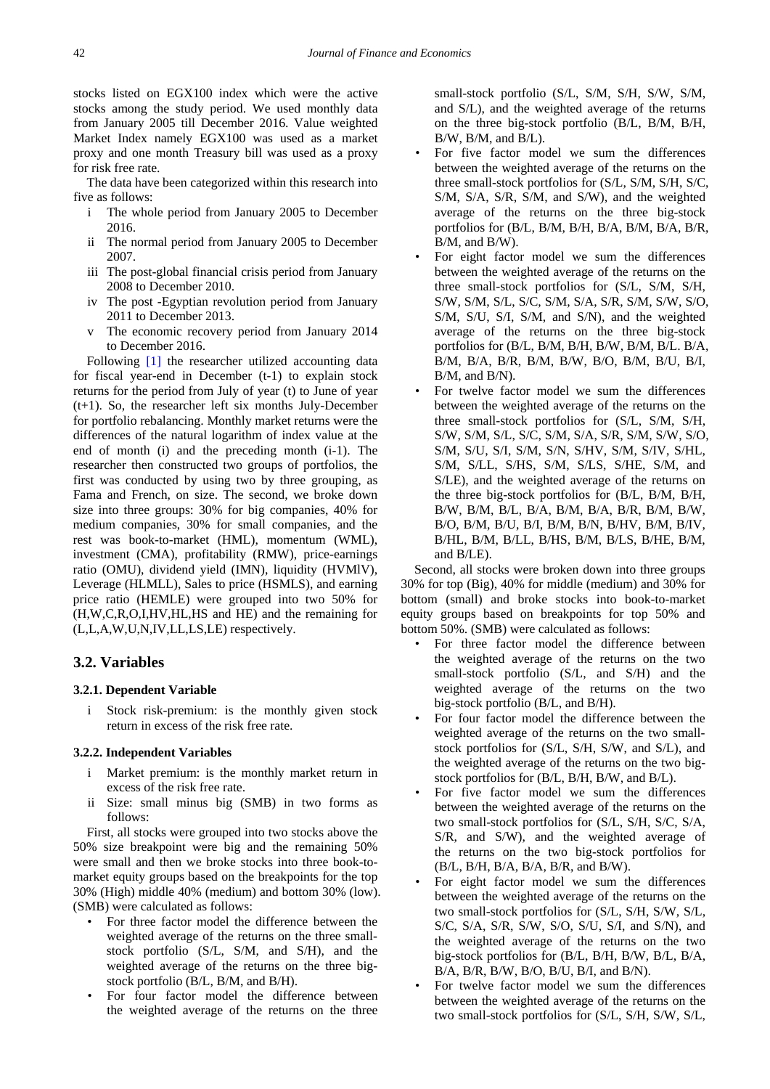stocks listed on EGX100 index which were the active stocks among the study period. We used monthly data from January 2005 till December 2016. Value weighted Market Index namely EGX100 was used as a market proxy and one month Treasury bill was used as a proxy for risk free rate.

The data have been categorized within this research into five as follows:

- i The whole period from January 2005 to December 2016.
- ii The normal period from January 2005 to December 2007.
- iii The post-global financial crisis period from January 2008 to December 2010.
- iv The post -Egyptian revolution period from January 2011 to December 2013.
- v The economic recovery period from January 2014 to December 2016.

Following [\[1\]](#page-5-0) the researcher utilized accounting data for fiscal year-end in December (t-1) to explain stock returns for the period from July of year (t) to June of year (t+1). So, the researcher left six months July-December for portfolio rebalancing. Monthly market returns were the differences of the natural logarithm of index value at the end of month (i) and the preceding month (i-1). The researcher then constructed two groups of portfolios, the first was conducted by using two by three grouping, as Fama and French, on size. The second, we broke down size into three groups: 30% for big companies, 40% for medium companies, 30% for small companies, and the rest was book-to-market (HML), momentum (WML), investment (CMA), profitability (RMW), price-earnings ratio (OMU), dividend yield (IMN), liquidity (HVMlV), Leverage (HLMLL), Sales to price (HSMLS), and earning price ratio (HEMLE) were grouped into two 50% for (H,W,C,R,O,I,HV,HL,HS and HE) and the remaining for (L,L,A,W,U,N,IV,LL,LS,LE) respectively.

## **3.2. Variables**

### **3.2.1. Dependent Variable**

i Stock risk-premium: is the monthly given stock return in excess of the risk free rate.

#### **3.2.2. Independent Variables**

- Market premium: is the monthly market return in excess of the risk free rate.
- ii Size: small minus big (SMB) in two forms as follows:

First, all stocks were grouped into two stocks above the 50% size breakpoint were big and the remaining 50% were small and then we broke stocks into three book-tomarket equity groups based on the breakpoints for the top 30% (High) middle 40% (medium) and bottom 30% (low). (SMB) were calculated as follows:

- For three factor model the difference between the weighted average of the returns on the three smallstock portfolio (S/L, S/M, and S/H), and the weighted average of the returns on the three bigstock portfolio (B/L, B/M, and B/H).
- For four factor model the difference between the weighted average of the returns on the three

small-stock portfolio (S/L, S/M, S/H, S/W, S/M, and S/L), and the weighted average of the returns on the three big-stock portfolio (B/L, B/M, B/H, B/W, B/M, and B/L).

- For five factor model we sum the differences between the weighted average of the returns on the three small-stock portfolios for (S/L, S/M, S/H, S/C, S/M, S/A, S/R, S/M, and S/W), and the weighted average of the returns on the three big-stock portfolios for (B/L, B/M, B/H, B/A, B/M, B/A, B/R, B/M, and B/W).
- For eight factor model we sum the differences between the weighted average of the returns on the three small-stock portfolios for (S/L, S/M, S/H, S/W, S/M, S/L, S/C, S/M, S/A, S/R, S/M, S/W, S/O, S/M, S/U, S/I, S/M, and S/N), and the weighted average of the returns on the three big-stock portfolios for (B/L, B/M, B/H, B/W, B/M, B/L. B/A, B/M, B/A, B/R, B/M, B/W, B/O, B/M, B/U, B/I, B/M, and B/N).
- For twelve factor model we sum the differences between the weighted average of the returns on the three small-stock portfolios for (S/L, S/M, S/H, S/W, S/M, S/L, S/C, S/M, S/A, S/R, S/M, S/W, S/O, S/M, S/U, S/I, S/M, S/N, S/HV, S/M, S/IV, S/HL, S/M, S/LL, S/HS, S/M, S/LS, S/HE, S/M, and S/LE), and the weighted average of the returns on the three big-stock portfolios for (B/L, B/M, B/H, B/W, B/M, B/L, B/A, B/M, B/A, B/R, B/M, B/W, B/O, B/M, B/U, B/I, B/M, B/N, B/HV, B/M, B/IV, B/HL, B/M, B/LL, B/HS, B/M, B/LS, B/HE, B/M, and B/LE).

Second, all stocks were broken down into three groups 30% for top (Big), 40% for middle (medium) and 30% for bottom (small) and broke stocks into book-to-market equity groups based on breakpoints for top 50% and bottom 50%. (SMB) were calculated as follows:

- For three factor model the difference between the weighted average of the returns on the two small-stock portfolio (S/L, and S/H) and the weighted average of the returns on the two big-stock portfolio (B/L, and B/H).
- For four factor model the difference between the weighted average of the returns on the two smallstock portfolios for (S/L, S/H, S/W, and S/L), and the weighted average of the returns on the two bigstock portfolios for (B/L, B/H, B/W, and B/L).
- For five factor model we sum the differences between the weighted average of the returns on the two small-stock portfolios for (S/L, S/H, S/C, S/A, S/R, and S/W), and the weighted average of the returns on the two big-stock portfolios for (B/L, B/H, B/A, B/A, B/R, and B/W).
- For eight factor model we sum the differences between the weighted average of the returns on the two small-stock portfolios for (S/L, S/H, S/W, S/L, S/C, S/A, S/R, S/W, S/O, S/U, S/I, and S/N), and the weighted average of the returns on the two big-stock portfolios for (B/L, B/H, B/W, B/L, B/A, B/A, B/R, B/W, B/O, B/U, B/I, and B/N).
- For twelve factor model we sum the differences between the weighted average of the returns on the two small-stock portfolios for (S/L, S/H, S/W, S/L,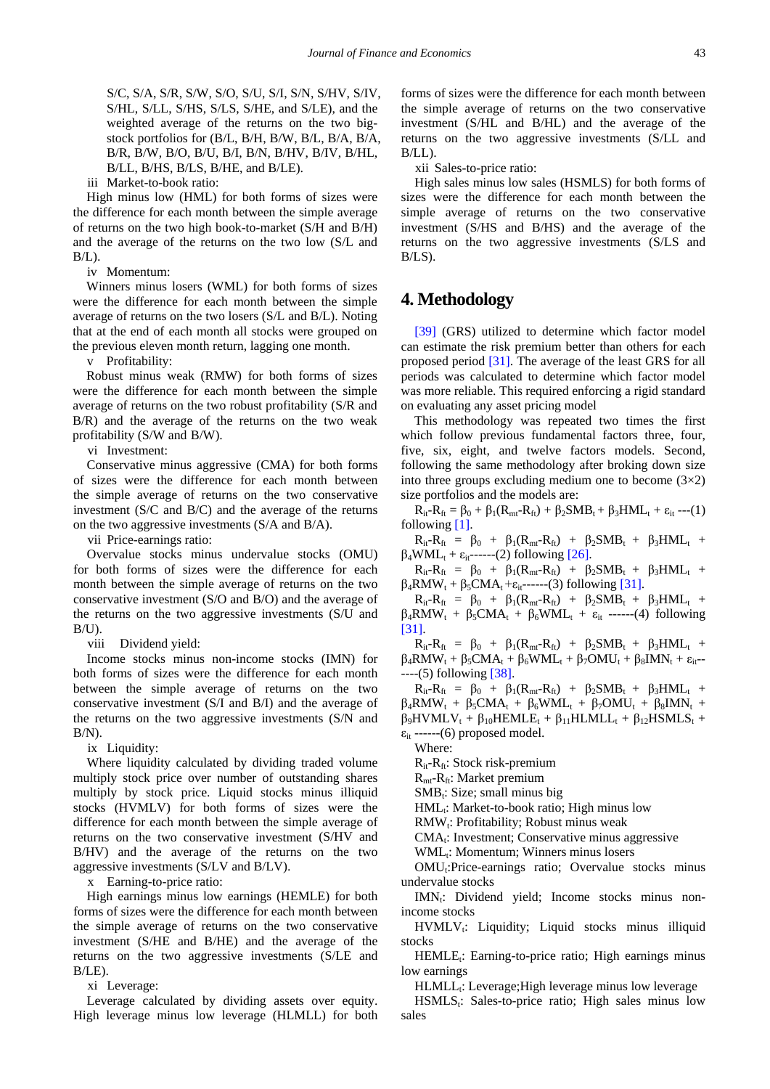S/C, S/A, S/R, S/W, S/O, S/U, S/I, S/N, S/HV, S/IV, S/HL, S/LL, S/HS, S/LS, S/HE, and S/LE), and the weighted average of the returns on the two bigstock portfolios for (B/L, B/H, B/W, B/L, B/A, B/A, B/R, B/W, B/O, B/U, B/I, B/N, B/HV, B/IV, B/HL, B/LL, B/HS, B/LS, B/HE, and B/LE).

iii Market-to-book ratio:

High minus low (HML) for both forms of sizes were the difference for each month between the simple average of returns on the two high book-to-market (S/H and B/H) and the average of the returns on the two low (S/L and  $B/L$ ).

iv Momentum:

Winners minus losers (WML) for both forms of sizes were the difference for each month between the simple average of returns on the two losers (S/L and B/L). Noting that at the end of each month all stocks were grouped on the previous eleven month return, lagging one month.

v Profitability:

Robust minus weak (RMW) for both forms of sizes were the difference for each month between the simple average of returns on the two robust profitability (S/R and B/R) and the average of the returns on the two weak profitability (S/W and B/W).

vi Investment:

Conservative minus aggressive (CMA) for both forms of sizes were the difference for each month between the simple average of returns on the two conservative investment (S/C and B/C) and the average of the returns on the two aggressive investments (S/A and B/A).

vii Price-earnings ratio:

Overvalue stocks minus undervalue stocks (OMU) for both forms of sizes were the difference for each month between the simple average of returns on the two conservative investment (S/O and B/O) and the average of the returns on the two aggressive investments (S/U and  $B/U$ ).

viii Dividend yield:

Income stocks minus non-income stocks (IMN) for both forms of sizes were the difference for each month between the simple average of returns on the two conservative investment (S/I and B/I) and the average of the returns on the two aggressive investments (S/N and  $B/N$ ).

ix Liquidity:

Where liquidity calculated by dividing traded volume multiply stock price over number of outstanding shares multiply by stock price. Liquid stocks minus illiquid stocks (HVMLV) for both forms of sizes were the difference for each month between the simple average of returns on the two conservative investment (S/HV and B/HV) and the average of the returns on the two aggressive investments (S/LV and B/LV).

x Earning-to-price ratio:

High earnings minus low earnings (HEMLE) for both forms of sizes were the difference for each month between the simple average of returns on the two conservative investment (S/HE and B/HE) and the average of the returns on the two aggressive investments (S/LE and B/LE).

xi Leverage:

Leverage calculated by dividing assets over equity. High leverage minus low leverage (HLMLL) for both forms of sizes were the difference for each month between the simple average of returns on the two conservative investment (S/HL and B/HL) and the average of the returns on the two aggressive investments (S/LL and B/LL).

xii Sales-to-price ratio:

High sales minus low sales (HSMLS) for both forms of sizes were the difference for each month between the simple average of returns on the two conservative investment (S/HS and B/HS) and the average of the returns on the two aggressive investments (S/LS and  $B/LS$ ).

# **4. Methodology**

[\[39\]](#page-6-7) (GRS) utilized to determine which factor model can estimate the risk premium better than others for each proposed period [\[31\].](#page-5-20) The average of the least GRS for all periods was calculated to determine which factor model was more reliable. This required enforcing a rigid standard on evaluating any asset pricing model

This methodology was repeated two times the first which follow previous fundamental factors three, four, five, six, eight, and twelve factors models. Second, following the same methodology after broking down size into three groups excluding medium one to become  $(3\times2)$ size portfolios and the models are:

 $R_{it} - R_{ft} = \beta_0 + \beta_1(R_{mt} - R_{ft}) + \beta_2SMB_t + \beta_3HML_t + \varepsilon_{it}$  ---(1) following [\[1\].](#page-5-0)

 $R_{it} - R_{ft} = \beta_0 + \beta_1(R_{mt} - R_{ft}) + \beta_2 SMB_t + \beta_3 HML_t +$  $\beta_4$ WML<sub>t</sub> +  $\varepsilon_{it}$ ------(2) following [\[26\].](#page-5-16)

 $R_{it} - R_{ft} = \beta_0 + \beta_1(R_{mt} - R_{ft}) + \beta_2 SMB_t + \beta_3 HML_t +$  $\beta_4$ RMW<sub>t</sub> +  $\beta_5$ CMA<sub>t</sub> +  $\varepsilon_{it}$ ------(3) following [\[31\].](#page-5-20)

 $R_{it} - R_{ft} = \beta_0 + \beta_1(R_{mt} - R_{ft}) + \beta_2 SMB_t + \beta_3 HML_t +$  $\beta_4$ RMW<sub>t</sub> +  $\beta_5$ CMA<sub>t</sub> +  $\beta_6$ WML<sub>t</sub> +  $\varepsilon_{it}$  ------(4) following [\[31\].](#page-5-20)

 $R_{it} - R_{ft} = \beta_0 + \beta_1(R_{mt} - R_{ft}) + \beta_2 SMB_t + \beta_3 HML_t +$  $\beta_4$ RMW<sub>t</sub> +  $\beta_5$ CMA<sub>t</sub> +  $\beta_6$ WML<sub>t</sub> +  $\beta_7$ OMU<sub>t</sub> +  $\beta_8$ IMN<sub>t</sub> +  $\varepsilon_{it}$ ------(5) following [\[38\].](#page-6-6)

 $R_{it}-R_{ft} = \beta_0 + \beta_1(R_{mt}-R_{ft}) + \beta_2SMB_t + \beta_3HML_t +$  $\beta_4$ RMW<sub>t</sub> +  $\beta_5$ CMA<sub>t</sub> +  $\beta_6$ WML<sub>t</sub> +  $\beta_7$ OMU<sub>t</sub> +  $\beta_8$ IMN<sub>t</sub> +  $\beta_9$ HVMLV<sub>t</sub> +  $\beta_{10}$ HEMLE<sub>t</sub> +  $\beta_{11}$ HLMLL<sub>t</sub> +  $\beta_{12}$ HSMLS<sub>t</sub> +  $\varepsilon_{it}$  ------(6) proposed model.

Where:

 $R_{it}$ - $R_{ft}$ : Stock risk-premium

 $R_{\text{mt}}$ - $R_{\text{ft}}$ : Market premium

 $SMB_t$ : Size; small minus big

 $HML_t$ : Market-to-book ratio; High minus low

RMW<sub>t</sub>: Profitability; Robust minus weak

 $CMA_t$ : Investment; Conservative minus aggressive

WML<sub>t</sub>: Momentum; Winners minus losers

OMU<sub>t</sub>:Price-earnings ratio; Overvalue stocks minus undervalue stocks

IMN<sub>t</sub>: Dividend yield; Income stocks minus nonincome stocks

 $HVMLV<sub>t</sub>:$  Liquidity; Liquid stocks minus illiquid stocks

 $HEMLE$ : Earning-to-price ratio; High earnings minus low earnings

HLMLL<sub>t</sub>: Leverage; High leverage minus low leverage

 $HSMLS<sub>i</sub>$ : Sales-to-price ratio; High sales minus low sales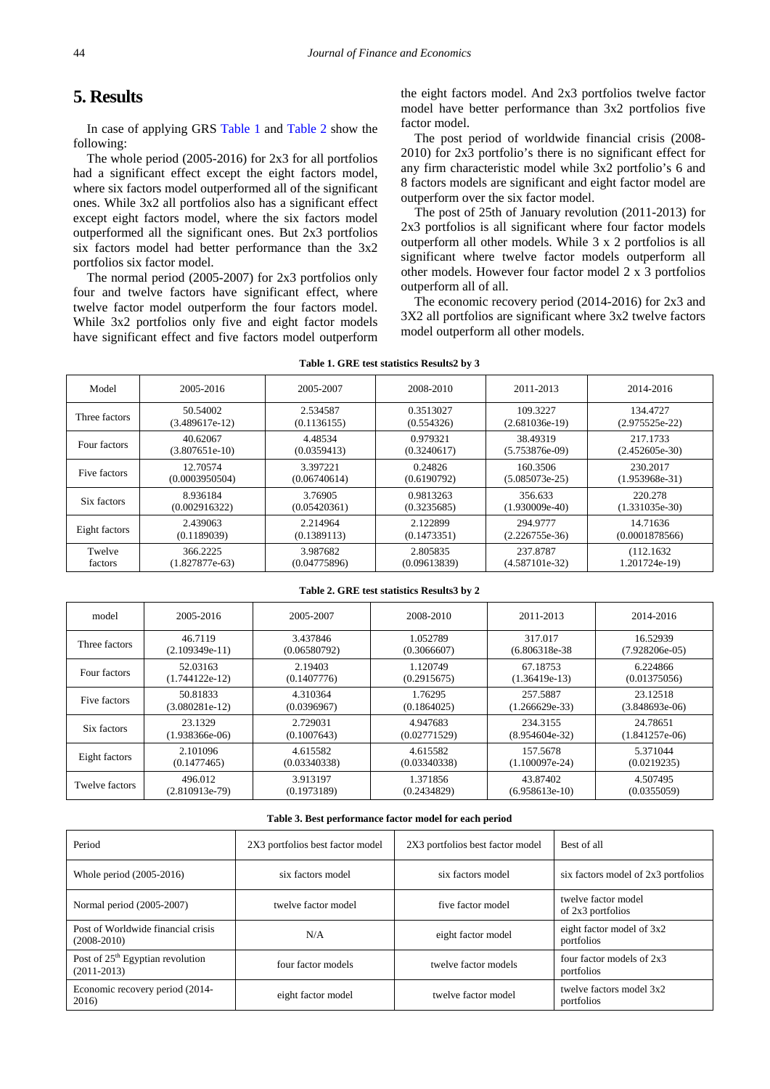# **5. Results**

In case of applying GRS [Table 1](#page-4-0) and [Table 2](#page-4-1) show the following:

The whole period (2005-2016) for 2x3 for all portfolios had a significant effect except the eight factors model, where six factors model outperformed all of the significant ones. While 3x2 all portfolios also has a significant effect except eight factors model, where the six factors model outperformed all the significant ones. But 2x3 portfolios six factors model had better performance than the 3x2 portfolios six factor model.

The normal period (2005-2007) for 2x3 portfolios only four and twelve factors have significant effect, where twelve factor model outperform the four factors model. While 3x2 portfolios only five and eight factor models have significant effect and five factors model outperform

the eight factors model. And 2x3 portfolios twelve factor model have better performance than 3x2 portfolios five factor model.

The post period of worldwide financial crisis (2008- 2010) for 2x3 portfolio's there is no significant effect for any firm characteristic model while 3x2 portfolio's 6 and 8 factors models are significant and eight factor model are outperform over the six factor model.

The post of 25th of January revolution (2011-2013) for 2x3 portfolios is all significant where four factor models outperform all other models. While 3 x 2 portfolios is all significant where twelve factor models outperform all other models. However four factor model 2 x 3 portfolios outperform all of all.

The economic recovery period (2014-2016) for 2x3 and 3X2 all portfolios are significant where 3x2 twelve factors model outperform all other models.

<span id="page-4-0"></span>

| Model         | 2005-2016        | 2005-2007    | 2008-2010    | 2011-2013        | 2014-2016        |
|---------------|------------------|--------------|--------------|------------------|------------------|
| Three factors | 50.54002         | 2.534587     | 0.3513027    | 109.3227         | 134.4727         |
|               | $(3.489617e-12)$ | (0.1136155)  | (0.554326)   | $(2.681036e-19)$ | $(2.975525e-22)$ |
| Four factors  | 40.62067         | 4.48534      | 0.979321     | 38.49319         | 217.1733         |
|               | $(3.807651e-10)$ | (0.0359413)  | (0.3240617)  | $(5.753876e-09)$ | $(2.452605e-30)$ |
| Five factors  | 12.70574         | 3.397221     | 0.24826      | 160.3506         | 230.2017         |
|               | (0.0003950504)   | (0.06740614) | (0.6190792)  | $(5.085073e-25)$ | $(1.953968e-31)$ |
| Six factors   | 8.936184         | 3.76905      | 0.9813263    | 356.633          | 220.278          |
|               | (0.002916322)    | (0.05420361) | (0.3235685)  | $(1.930009e-40)$ | $(1.331035e-30)$ |
| Eight factors | 2.439063         | 2.214964     | 2.122899     | 294.9777         | 14.71636         |
|               | (0.1189039)      | (0.1389113)  | (0.1473351)  | $(2.226755e-36)$ | (0.0001878566)   |
| Twelve        | 366.2225         | 3.987682     | 2.805835     | 237.8787         | (112.1632)       |
| factors       | $(1.827877e-63)$ | (0.04775896) | (0.09613839) | $(4.587101e-32)$ | 1.201724e-19)    |

**Table 1. GRE test statistics Results2 by 3**

#### **Table 2. GRE test statistics Results3 by 2**

<span id="page-4-1"></span>

| model          | 2005-2016        | 2005-2007    | 2008-2010    | 2011-2013        | 2014-2016        |
|----------------|------------------|--------------|--------------|------------------|------------------|
| Three factors  | 46.7119          | 3.437846     | 1.052789     | 317.017          | 16.52939         |
|                | $(2.109349e-11)$ | (0.06580792) | (0.3066607)  | $(6.806318e-38)$ | $(7.928206e-05)$ |
| Four factors   | 52.03163         | 2.19403      | 1.120749     | 67.18753         | 6.224866         |
|                | $(1.744122e-12)$ | (0.1407776)  | (0.2915675)  | $(1.36419e-13)$  | (0.01375056)     |
| Five factors   | 50.81833         | 4.310364     | 1.76295      | 257.5887         | 23.12518         |
|                | $(3.080281e-12)$ | (0.0396967)  | (0.1864025)  | $(1.266629e-33)$ | $(3.848693e-06)$ |
| Six factors    | 23.1329          | 2.729031     | 4.947683     | 234.3155         | 24.78651         |
|                | $(1.938366e-06)$ | (0.1007643)  | (0.02771529) | $(8.954604e-32)$ | $(1.841257e-06)$ |
| Eight factors  | 2.101096         | 4.615582     | 4.615582     | 157.5678         | 5.371044         |
|                | (0.1477465)      | (0.03340338) | (0.03340338) | $(1.100097e-24)$ | (0.0219235)      |
| Twelve factors | 496.012          | 3.913197     | 1.371856     | 43.87402         | 4.507495         |
|                | $(2.810913e-79)$ | (0.1973189)  | (0.2434829)  | $(6.958613e-10)$ | (0.0355059)      |

#### **Table 3. Best performance factor model for each period**

<span id="page-4-2"></span>

| Period                                                        | 2X3 portfolios best factor model | 2X3 portfolios best factor model | Best of all                              |
|---------------------------------------------------------------|----------------------------------|----------------------------------|------------------------------------------|
| Whole period (2005-2016)                                      | six factors model                | six factors model                | six factors model of 2x3 portfolios      |
| Normal period (2005-2007)                                     | twelve factor model              | five factor model                | twelve factor model<br>of 2x3 portfolios |
| Post of Worldwide financial crisis<br>$(2008-2010)$           | N/A                              | eight factor model               | eight factor model of 3x2<br>portfolios  |
| Post of 25 <sup>th</sup> Egyptian revolution<br>$(2011-2013)$ | four factor models               | twelve factor models             | four factor models of 2x3<br>portfolios  |
| Economic recovery period (2014-<br>2016)                      | eight factor model               | twelve factor model              | twelve factors model 3x2<br>portfolios   |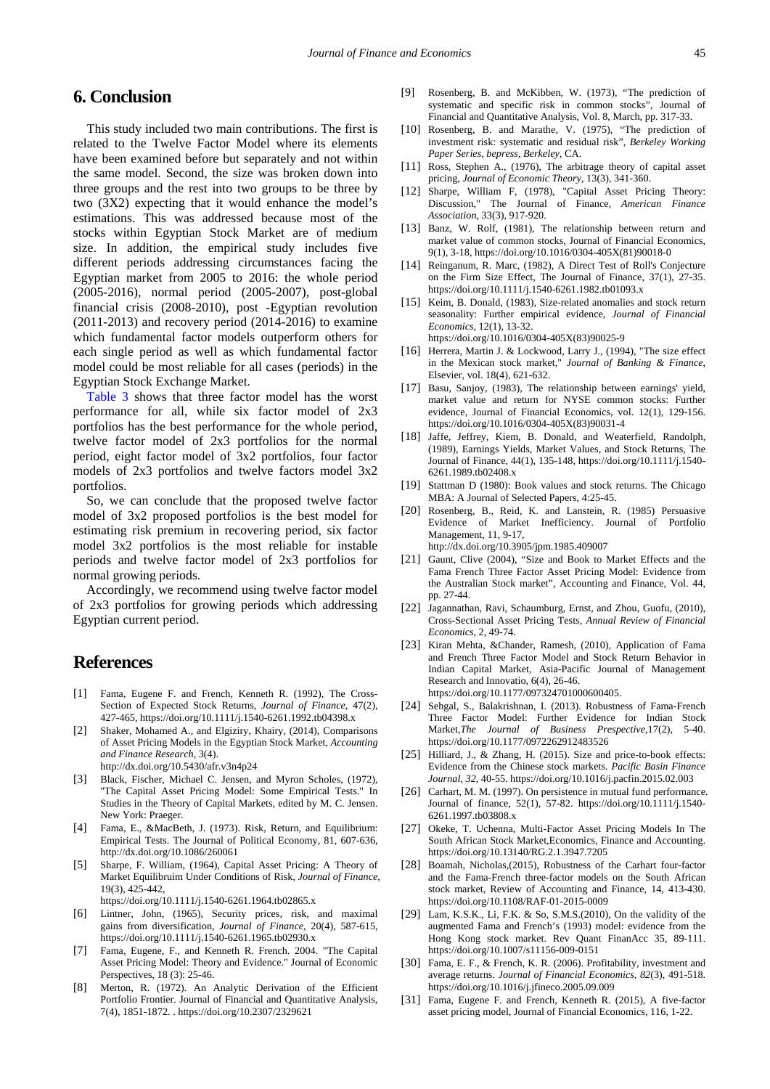# **6. Conclusion**

This study included two main contributions. The first is related to the Twelve Factor Model where its elements have been examined before but separately and not within the same model. Second, the size was broken down into three groups and the rest into two groups to be three by two (3X2) expecting that it would enhance the model's estimations. This was addressed because most of the stocks within Egyptian Stock Market are of medium size. In addition, the empirical study includes five different periods addressing circumstances facing the Egyptian market from 2005 to 2016: the whole period (2005-2016), normal period (2005-2007), post-global financial crisis (2008-2010), post -Egyptian revolution  $(2011-2013)$  and recovery period  $(2014-2016)$  to examine which fundamental factor models outperform others for each single period as well as which fundamental factor model could be most reliable for all cases (periods) in the Egyptian Stock Exchange Market.

[Table 3](#page-4-2) shows that three factor model has the worst performance for all, while six factor model of 2x3 portfolios has the best performance for the whole period, twelve factor model of 2x3 portfolios for the normal period, eight factor model of 3x2 portfolios, four factor models of 2x3 portfolios and twelve factors model 3x2 portfolios.

So, we can conclude that the proposed twelve factor model of 3x2 proposed portfolios is the best model for estimating risk premium in recovering period, six factor model 3x2 portfolios is the most reliable for instable periods and twelve factor model of 2x3 portfolios for normal growing periods.

Accordingly, we recommend using twelve factor model of 2x3 portfolios for growing periods which addressing Egyptian current period.

## **References**

- <span id="page-5-0"></span>[1] Fama, Eugene F. and French, Kenneth R. (1992), The Cross-Section of Expected Stock Returns, *Journal of Finance,* 47(2), 427-465, https://doi.org/10.1111/j.1540-6261.1992.tb04398.x
- <span id="page-5-1"></span>[2] Shaker, Mohamed A., and Elgiziry, Khairy, (2014), Comparisons of Asset Pricing Models in the Egyptian Stock Market, *Accounting and Finance Research,* 3(4). http://dx.doi.org/10.5430/afr.v3n4p24
- <span id="page-5-2"></span>[3] [Black, Fischer, Michael C. Jensen, and Myron Scholes, \(1972\),](http://www.hbs.edu/faculty/product/3739)  ["The Capital Asset Pricing Model: Some Empirical Tests." In](http://www.hbs.edu/faculty/product/3739)  [Studies in the Theory of Capital Markets, edited by M. C. Jensen.](http://www.hbs.edu/faculty/product/3739)  [New York: Praeger.](http://www.hbs.edu/faculty/product/3739)
- [4] Fama, E., &MacBeth, J. (1973). Risk, Return, and Equilibrium: Empirical Tests. The Journal of Political Economy, 81, 607-636, http://dx.doi.org/10.1086/260061
- <span id="page-5-3"></span>[5] Sharpe, F. William, (1964), Capital Asset Pricing: A Theory of Market Equilibruim Under Conditions of Risk, *Journal of Finance*, 19(3), 425-442,
	- https://doi.org/10.1111/j.1540-6261.1964.tb02865.x
- [6] Lintner, John, (1965), Security prices, risk, and maximal gains from diversification, *Journal of Finance*, 20(4), 587-615, https://doi.org/10.1111/j.1540-6261.1965.tb02930.x
- <span id="page-5-4"></span>[7] Fama, Eugene, F., and Kenneth R. French. 2004. "The Capital Asset Pricing Model: Theory and Evidence." Journal of Economic Perspectives, 18 (3): 25-46.
- <span id="page-5-5"></span>[8] Merton, R. (1972). An Analytic Derivation of the Efficient Portfolio Frontier. Journal of Financial and Quantitative Analysis, 7(4), 1851-1872. . https://doi.org/10.2307/2329621
- [9] Rosenberg, B. and McKibben, W. (1973), "The prediction of systematic and specific risk in common stocks", Journal of Financial and Quantitative Analysis, Vol. 8, March, pp. 317-33.
- [10] Rosenberg, B. and Marathe, V. (1975), "The prediction of investment risk: systematic and residual risk", *Berkeley Working Paper Series, bepress, Berkeley*, CA.
- [11] Ross, Stephen A., (1976), The arbitrage theory of capital asset pricing, *Journal of Economic Theory*, 13(3), 341-360.
- [12] Sharpe, William F, (1978), "Capital Asset Pricing Theory: Discussion," The Journal of Finance, *American Finance Association*, 33(3), 917-920.
- <span id="page-5-6"></span>[13] Banz, W. Rolf, (1981), The relationship between return and [market value of common stocks, Journal of Financial Economics,](https://doi.org/10.1016/0304-405X(81)90018-0)  [9\(1\), 3-18, https://doi.org/10.1016/0304-405X\(81\)90018-0](https://doi.org/10.1016/0304-405X(81)90018-0)
- [14] Reinganum, R. Marc, (1982), A Direct Test of Roll's Conjecture on the Firm Size Effect, The Journal of Finance, 37(1), 27-35. https://doi.org/10.1111/j.1540-6261.1982.tb01093.x
- <span id="page-5-7"></span>[15] Keim, B. Donald, (1983), Size-related anomalies and stock return seasonality: Further empirical evidence, *Journal of Financial Economics*, 12(1), 13-32. https://doi.org/10.1016/0304-405X(83)90025-9
- <span id="page-5-8"></span>[16] Herrera, Martin J. & Lockwood, Larry J., (1994), "The size effect
- in the Mexican stock market," *Journal of Banking & Finance*, Elsevier, vol. 18(4), 621-632.
- <span id="page-5-9"></span>[17] Basu, Sanjoy, (1983), The relationship between earnings' yield, market value and return for NYSE common stocks: Further evidence, Journal of Financial Economics, vol. 12(1), 129-156. https://doi.org/10.1016/0304-405X(83)90031-4
- [18] Jaffe, Jeffrey, Kiem, B. Donald, and Weaterfield, Randolph, [\(1989\), Earnings Yields, Market Values, and Stock Returns, The](https://doi.org/10.1111/j.1540-6261.1989.tb02408.x)  [Journal of Finance, 44\(1\), 135-148, https://doi.org/10.1111/j.1540-](https://doi.org/10.1111/j.1540-6261.1989.tb02408.x) [6261.1989.tb02408.x](https://doi.org/10.1111/j.1540-6261.1989.tb02408.x)
- <span id="page-5-10"></span>[19] Stattman D (1980): Book values and stock returns. The Chicago MBA: A Journal of Selected Papers, 4:25-45.
- <span id="page-5-11"></span>[20] Rosenberg, B., Reid, K. and Lanstein, R. (1985) Persuasive Evidence of Market Inefficiency. Journal of Portfolio Management, 11, 9-17, http://dx.doi.org/10.3905/jpm.1985.409007
- <span id="page-5-12"></span>[21] Gaunt, Clive (2004), "Size and Book to Market Effects and the Fama French Three Factor Asset Pricing Model: Evidence from the Australian Stock market", Accounting and Finance, Vol. 44, pp. 27-44.
- <span id="page-5-13"></span>[22] Jagannathan, Ravi, Schaumburg, Ernst, and Zhou, Guofu, (2010), Cross-Sectional Asset Pricing Tests, *Annual Review of Financial Economics*, 2, 49-74.
- <span id="page-5-14"></span>[23] Kiran Mehta, &Chander, Ramesh, (2010), Application of Fama and French Three Factor Model and Stock Return Behavior in Indian Capital Market, Asia-Pacific Journal of Management Research and Innovatio, 6(4), 26-46. https://doi.org/10.1177/097324701000600405.
- [24] Sehgal, S., Balakrishnan, I. (2013). Robustness of Fama-French Three Factor Model: Further Evidence for Indian Stock Market,*The Journal of Business Prespective*,17(2), 5-40. https://doi.org/10.1177/0972262912483526
- <span id="page-5-15"></span>[25] Hilliard, J., & Zhang, H. (2015). Size and price-to-book effects: Evidence from the Chinese stock markets. *Pacific Basin Finance Journal*, *32*, 40-55. https://doi.org/10.1016/j.pacfin.2015.02.003
- <span id="page-5-16"></span>[26] Carhart, M. M. (1997). On persistence in mutual fund performance. Journal of finance, 52(1), 57-82. https://doi.org/10.1111/j.1540- 6261.1997.tb03808.x
- <span id="page-5-17"></span>[27] Okeke, T. Uchenna, Multi-Factor Asset Pricing Models In The South African Stock Market,Economics, Finance and Accounting. https://doi.org/10.13140/RG.2.1.3947.7205
- [28] Boamah, Nicholas,(2015), Robustness of the Carhart four-factor and the Fama-French three-factor models on the South African stock market, Review of Accounting and Finance, 14, 413-430. https://doi.org/10.1108/RAF-01-2015-0009
- <span id="page-5-18"></span>[29] Lam, K.S.K., Li, F.K. & So, S.M.S.(2010), On the validity of the augmented Fama and French's (1993) model: evidence from the Hong Kong stock market. Rev Quant FinanAcc 35, 89-111. https://doi.org/10.1007/s11156-009-0151
- <span id="page-5-19"></span>[30] Fama, E. F., & French, K. R. (2006). Profitability, investment and average returns. *Journal of Financial Economics*, *82*(3), 491-518. https://doi.org/10.1016/j.jfineco.2005.09.009
- <span id="page-5-20"></span>[31] Fama, Eugene F. and French, Kenneth R. (2015), A five-factor asset pricing model, Journal of Financial Economics, 116, 1-22.